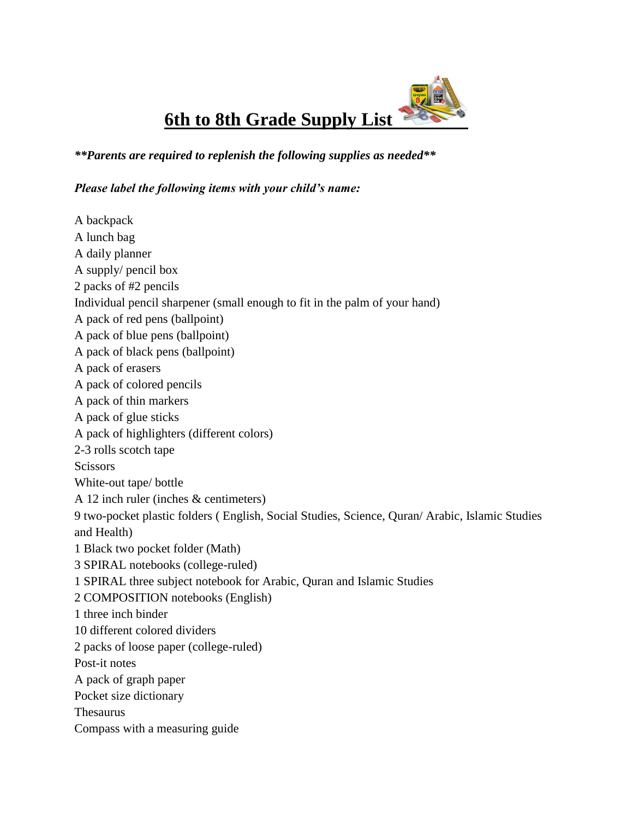**6th to 8th Grade Supply List** 

*\*\*Parents are required to replenish the following supplies as needed\*\**

## *Please label the following items with your child's name:*

A backpack A lunch bag A daily planner A supply/ pencil box 2 packs of #2 pencils Individual pencil sharpener (small enough to fit in the palm of your hand) A pack of red pens (ballpoint) A pack of blue pens (ballpoint) A pack of black pens (ballpoint) A pack of erasers A pack of colored pencils A pack of thin markers A pack of glue sticks A pack of highlighters (different colors) 2-3 rolls scotch tape **Scissors** White-out tape/ bottle A 12 inch ruler (inches & centimeters) 9 two-pocket plastic folders ( English, Social Studies, Science, Quran/ Arabic, Islamic Studies and Health) 1 Black two pocket folder (Math) 3 SPIRAL notebooks (college-ruled) 1 SPIRAL three subject notebook for Arabic, Quran and Islamic Studies 2 COMPOSITION notebooks (English) 1 three inch binder 10 different colored dividers 2 packs of loose paper (college-ruled) Post-it notes A pack of graph paper Pocket size dictionary Thesaurus Compass with a measuring guide